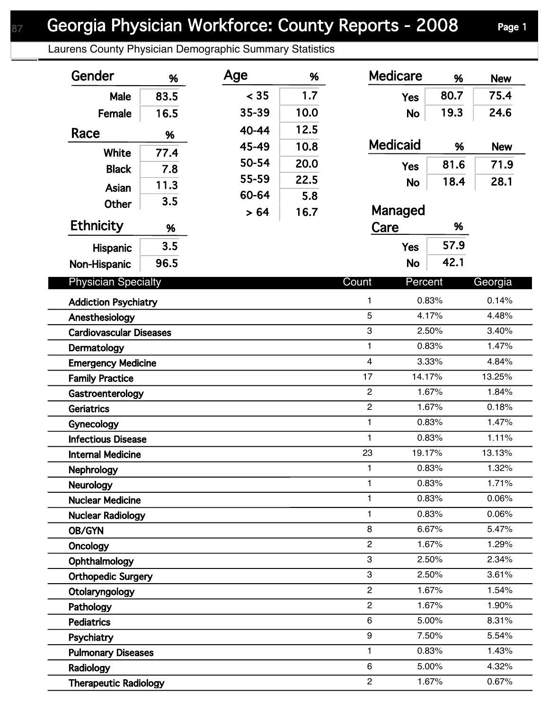Laurens County Physician Demographic Summary Statistics

| Gender                                | %    | Age   | %    | <b>Medicare</b>  | %              | <b>New</b>     |
|---------------------------------------|------|-------|------|------------------|----------------|----------------|
| <b>Male</b>                           | 83.5 | < 35  | 1.7  | <b>Yes</b>       | 80.7           | 75.4           |
| Female                                | 16.5 | 35-39 | 10.0 | <b>No</b>        | 19.3           | 24.6           |
| Race                                  | %    | 40-44 | 12.5 |                  |                |                |
|                                       |      | 45-49 | 10.8 | <b>Medicaid</b>  | %              | <b>New</b>     |
| <b>White</b>                          | 77.4 | 50-54 | 20.0 | <b>Yes</b>       | 81.6           | 71.9           |
| <b>Black</b>                          | 7.8  | 55-59 | 22.5 | <b>No</b>        | 18.4           | 28.1           |
| Asian                                 | 11.3 | 60-64 | 5.8  |                  |                |                |
| Other                                 | 3.5  | > 64  | 16.7 | Managed          |                |                |
| <b>Ethnicity</b>                      | %    |       |      | Care             | %              |                |
| Hispanic                              | 3.5  |       |      | <b>Yes</b>       | 57.9           |                |
| Non-Hispanic                          | 96.5 |       |      | <b>No</b>        | 42.1           |                |
|                                       |      |       |      |                  |                |                |
| <b>Physician Specialty</b>            |      |       |      | Count<br>Percent |                | Georgia        |
| <b>Addiction Psychiatry</b>           |      |       |      | 1                | 0.83%          | 0.14%          |
| Anesthesiology                        |      |       |      | $\overline{5}$   | 4.17%          | 4.48%<br>3.40% |
| <b>Cardiovascular Diseases</b>        |      |       |      | 3<br>1           | 2.50%<br>0.83% |                |
| Dermatology                           |      |       |      | 4                | 3.33%          | 1.47%<br>4.84% |
| <b>Emergency Medicine</b>             |      |       |      | 17<br>14.17%     |                | 13.25%         |
| <b>Family Practice</b>                |      |       |      | $\boldsymbol{2}$ | 1.67%          | 1.84%          |
| Gastroenterology<br><b>Geriatrics</b> |      |       |      | $\overline{c}$   | 1.67%          | 0.18%          |
| Gynecology                            |      |       |      | 1                | 0.83%          | 1.47%          |
| <b>Infectious Disease</b>             |      |       |      | 1                | 0.83%          | 1.11%          |
| <b>Internal Medicine</b>              |      |       |      | 23<br>19.17%     |                | 13.13%         |
| Nephrology                            |      |       |      | 1                | 0.83%          | 1.32%          |
| <b>Neurology</b>                      |      |       |      | 1                | 0.83%          | 1.71%          |
| <b>Nuclear Medicine</b>               |      |       |      | 1                | 0.83%          | 0.06%          |
| <b>Nuclear Radiology</b>              |      |       |      | 1                | 0.83%          | 0.06%          |
| <b>OB/GYN</b>                         |      |       |      | 8                | 6.67%          | 5.47%          |
| Oncology                              |      |       |      | $\overline{c}$   | 1.67%          | 1.29%          |
| Ophthalmology                         |      |       |      | 3                | 2.50%          | 2.34%          |
| <b>Orthopedic Surgery</b>             |      |       |      | 3                | 2.50%          | 3.61%          |
| Otolaryngology                        |      |       |      | $\overline{2}$   | 1.67%          | 1.54%          |
| Pathology                             |      |       |      | $\overline{c}$   | 1.67%          | 1.90%          |
| <b>Pediatrics</b>                     |      |       |      | 6                | 5.00%          | 8.31%          |
| Psychiatry                            |      |       |      | 9                | 7.50%          | 5.54%          |
| <b>Pulmonary Diseases</b>             |      |       |      | 1                | 0.83%          | 1.43%          |
| Radiology                             |      |       |      | 6                | 5.00%          | 4.32%          |
| <b>Therapeutic Radiology</b>          |      |       |      | $\overline{c}$   | 1.67%          | 0.67%          |